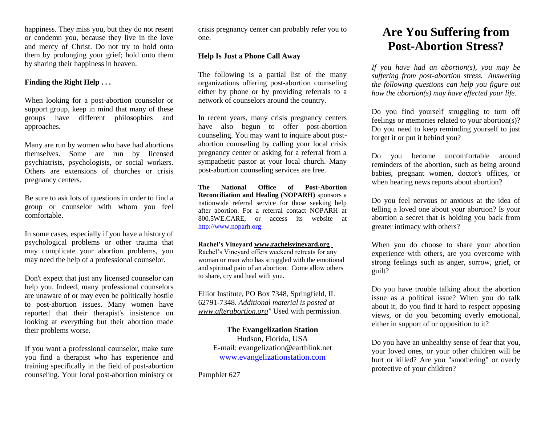happiness. They miss you, but they do not resent or condemn you, because they live in the love and mercy of Christ. Do not try to hold onto them by prolonging your grief; hold onto them by sharing their happiness in heaven.

## **Finding the Right Help . . .**

When looking for a post-abortion counselor or support group, keep in mind that many of these groups have different philosophies and approaches.

Many are run by women who have had abortions themselves. Some are run by licensed psychiatrists, psychologists, or social workers. Others are extensions of churches or crisis pregnancy centers.

Be sure to ask lots of questions in order to find a group or counselor with whom you feel comfortable.

In some cases, especially if you have a history of psychological problems or other trauma that may complicate your abortion problems, you may need the help of a professional counselor.

Don't expect that just any licensed counselor can help you. Indeed, many professional counselors are unaware of or may even be politically hostile to post-abortion issues. Many women have reported that their therapist's insistence on looking at everything but their abortion made their problems worse.

If you want a professional counselor, make sure you find a therapist who has experience and training specifically in the field of post-abortion counseling. Your local post-abortion ministry or crisis pregnancy center can probably refer you to one.

## **Help Is Just a Phone Call Away**

The following is a partial list of the many organizations offering post-abortion counseling either by phone or by providing referrals to a network of counselors around the country.

In recent years, many crisis pregnancy centers have also begun to offer post-abortion counseling. You may want to inquire about postabortion counseling by calling your local crisis pregnancy center or asking for a referral from a sympathetic pastor at your local church. Many post-abortion counseling services are free.

**The National Office of Post-Abortion Reconciliation and Healing (NOPARH)** sponsors a nationwide referral service for those seeking help after abortion. For a referral contact NOPARH at 800.5WE.CARE, or access its website at [http://www.noparh.org.](http://www.noparh.org/)

#### **Rachel's Vineyard [www.rachelsvineyard.org](http://www.rachelsvineyard.org/)**

Rachel's Vineyard offers weekend retreats for any woman or man who has struggled with the emotional and spiritual pain of an abortion. Come allow others to share, cry and heal with you.

Elliot Institute, PO Box 7348, Springfield, IL 62791-7348. *Additional material is posted at [www.afterabortion.org"](http://www.afterabortion.org/)* Used with permission.

> **The Evangelization Station** Hudson, Florida, USA E-mail: evangelization@earthlink.net [www.evangelizationstation.com](http://www.pjpiisoe.org/)

Pamphlet 627

# **Are You Suffering from Post-Abortion Stress?**

*If you have had an abortion(s), you may be suffering from post-abortion stress. Answering the following questions can help you figure out how the abortion(s) may have effected your life.*

Do you find yourself struggling to turn off feelings or memories related to your abortion(s)? Do you need to keep reminding yourself to just forget it or put it behind you?

Do you become uncomfortable around reminders of the abortion, such as being around babies, pregnant women, doctor's offices, or when hearing news reports about abortion?

Do you feel nervous or anxious at the idea of telling a loved one about your abortion? Is your abortion a secret that is holding you back from greater intimacy with others?

When you do choose to share your abortion experience with others, are you overcome with strong feelings such as anger, sorrow, grief, or guilt?

Do you have trouble talking about the abortion issue as a political issue? When you do talk about it, do you find it hard to respect opposing views, or do you becoming overly emotional, either in support of or opposition to it?

Do you have an unhealthy sense of fear that you, your loved ones, or your other children will be hurt or killed? Are you "smothering" or overly protective of your children?